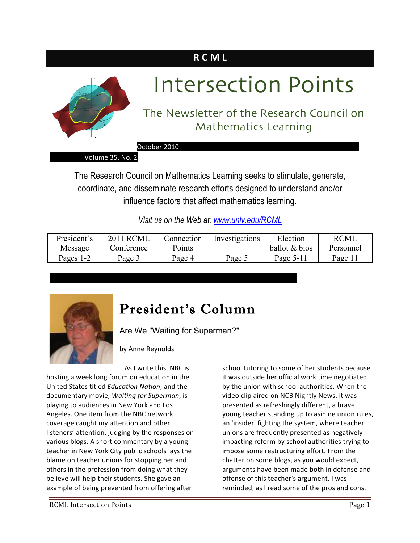# **R C M L**



# Intersection Points

## The Newsletter of the Research Council on Mathematics Learning

October 2010

Volume 35, No. 2

The Research Council on Mathematics Learning seeks to stimulate, generate, coordinate, and disseminate research efforts designed to understand and/or influence factors that affect mathematics learning.

*Visit us on the Web at: www.unlv.edu/RCML*

| President's | <b>2011 RCML</b> | Connection | Investigations | Election      | <b>RCML</b> |
|-------------|------------------|------------|----------------|---------------|-------------|
| Message     | Conference       | Points     |                | ballot & bios | Personnel   |
| Pages 1-2   | Page 3           | Page 4     | Page:          | Page $5-11$   | Page 1      |



# President's Column

Are We "Waiting for Superman?"

 

by Anne Reynolds

As I write this, NBC is

hosting a week long forum on education in the United States titled *Education Nation*, and the documentary movie, *Waiting for Superman*, is playing to audiences in New York and Los Angeles. One item from the NBC network coverage caught my attention and other listeners' attention, judging by the responses on various blogs. A short commentary by a young teacher in New York City public schools lays the blame on teacher unions for stopping her and others in the profession from doing what they believe will help their students. She gave an example of being prevented from offering after

school tutoring to some of her students because it was outside her official work time negotiated by the union with school authorities. When the video clip aired on NCB Nightly News, it was presented as refreshingly different, a brave young teacher standing up to asinine union rules, an 'insider' fighting the system, where teacher unions are frequently presented as negatively impacting reform by school authorities trying to impose some restructuring effort. From the chatter on some blogs, as you would expect, arguments have been made both in defense and offense of this teacher's argument. I was reminded, as I read some of the pros and cons,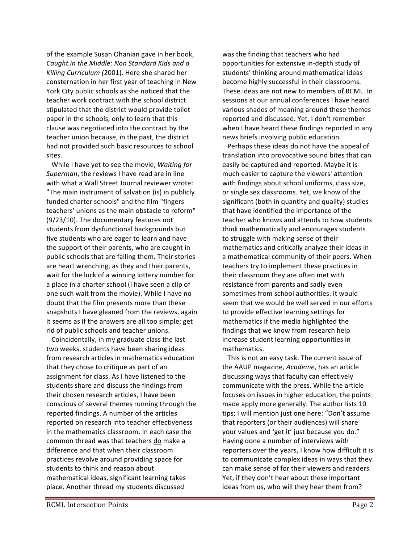of the example Susan Ohanian gave in her book, Caught in the Middle: Non Standard Kids and a Killing Curriculum (2001). Here she shared her consternation in her first year of teaching in New York City public schools as she noticed that the teacher work contract with the school district stipulated that the district would provide toilet paper in the schools, only to learn that this clause was negotiated into the contract by the teacher union because, in the past, the district had not provided such basic resources to school sites.

While I have yet to see the movie, *Waiting for* Superman, the reviews I have read are in line with what a Wall Street Journal reviewer wrote: "The main instrument of salvation (is) in publicly funded charter schools" and the film "fingers teachers' unions as the main obstacle to reform"  $(9/23/10)$ . The documentary features not students from dysfunctional backgrounds but five students who are eager to learn and have the support of their parents, who are caught in public schools that are failing them. Their stories are heart wrenching, as they and their parents, wait for the luck of a winning lottery number for a place in a charter school (I have seen a clip of one such wait from the movie). While I have no doubt that the film presents more than these snapshots I have gleaned from the reviews, again it seems as if the answers are all too simple: get rid of public schools and teacher unions.

Coincidentally, in my graduate class the last two weeks, students have been sharing ideas from research articles in mathematics education that they chose to critique as part of an assignment for class. As I have listened to the students share and discuss the findings from their chosen research articles, I have been conscious of several themes running through the reported findings. A number of the articles reported on research into teacher effectiveness in the mathematics classroom. In each case the common thread was that teachers do make a difference and that when their classroom practices revolve around providing space for students to think and reason about mathematical ideas, significant learning takes place. Another thread my students discussed

was the finding that teachers who had opportunities for extensive in-depth study of students' thinking around mathematical ideas become highly successful in their classrooms. These ideas are not new to members of RCML. In sessions at our annual conferences I have heard various shades of meaning around these themes reported and discussed. Yet, I don't remember when I have heard these findings reported in any news briefs involving public education.

Perhaps these ideas do not have the appeal of translation into provocative sound bites that can easily be captured and reported. Maybe it is much easier to capture the viewers' attention with findings about school uniforms, class size, or single sex classrooms. Yet, we know of the significant (both in quantity and quality) studies that have identified the importance of the teacher who knows and attends to how students think mathematically and encourages students to struggle with making sense of their mathematics and critically analyze their ideas in a mathematical community of their peers. When teachers try to implement these practices in their classroom they are often met with resistance from parents and sadly even sometimes from school authorities. It would seem that we would be well served in our efforts to provide effective learning settings for mathematics if the media highlighted the findings that we know from research help increase student learning opportunities in mathematics.

This is not an easy task. The current issue of the AAUP magazine, *Academe*, has an article discussing ways that faculty can effectively communicate with the press. While the article focuses on issues in higher education, the points made apply more generally. The author lists 10 tips; I will mention just one here: "Don't assume that reporters (or their audiences) will share your values and 'get it' just because you do." Having done a number of interviews with reporters over the years, I know how difficult it is to communicate complex ideas in ways that they can make sense of for their viewers and readers. Yet, if they don't hear about these important ideas from us, who will they hear them from?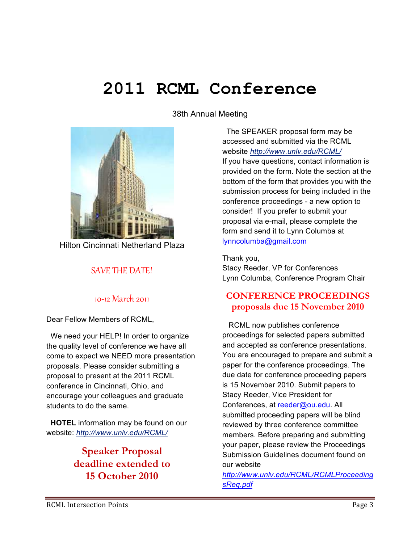# **2011 RCML Conference**

38th Annual Meeting



Hilton Cincinnati Netherland Plaza

#### SAVE THE DATE!

#### 10-12 March 2011

Dear Fellow Members of RCML,

 We need your HELP! In order to organize the quality level of conference we have all come to expect we NEED more presentation proposals. Please consider submitting a proposal to present at the 2011 RCML conference in Cincinnati, Ohio, and encourage your colleagues and graduate students to do the same.

 **HOTEL** information may be found on our website: *http://www.unlv.edu/RCML/*

### **Speaker Proposal deadline extended to 15 October 2010**

 The SPEAKER proposal form may be accessed and submitted via the RCML website *http://www.unlv.edu/RCML/* If you have questions, contact information is provided on the form. Note the section at the bottom of the form that provides you with the submission process for being included in the conference proceedings - a new option to consider! If you prefer to submit your proposal via e-mail, please complete the form and send it to Lynn Columba at lynncolumba@gmail.com

Thank you, Stacy Reeder, VP for Conferences Lynn Columba, Conference Program Chair

#### **CONFERENCE PROCEEDINGS proposals due 15 November 2010**

 RCML now publishes conference proceedings for selected papers submitted and accepted as conference presentations. You are encouraged to prepare and submit a paper for the conference proceedings. The due date for conference proceeding papers is 15 November 2010. Submit papers to Stacy Reeder, Vice President for Conferences, at reeder@ou.edu. All submitted proceeding papers will be blind reviewed by three conference committee members. Before preparing and submitting your paper, please review the Proceedings Submission Guidelines document found on our website

*http://www.unlv.edu/RCML/RCMLProceeding sReq.pdf*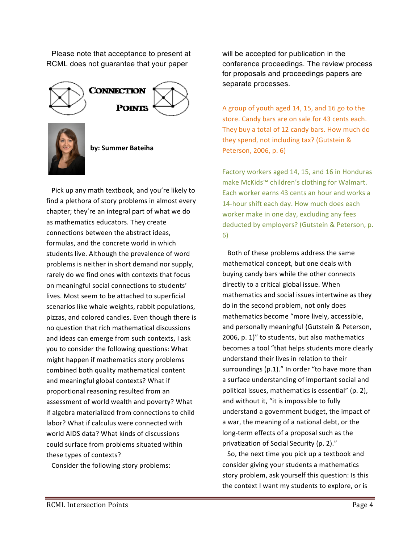Please note that acceptance to present at RCML does not guarantee that your paper



Pick up any math textbook, and you're likely to find a plethora of story problems in almost every chapter; they're an integral part of what we do as mathematics educators. They create connections between the abstract ideas. formulas, and the concrete world in which students live. Although the prevalence of word problems is neither in short demand nor supply, rarely do we find ones with contexts that focus on meaningful social connections to students' lives. Most seem to be attached to superficial scenarios like whale weights, rabbit populations, pizzas, and colored candies. Even though there is no question that rich mathematical discussions and ideas can emerge from such contexts, I ask you to consider the following questions: What might happen if mathematics story problems combined both quality mathematical content and meaningful global contexts? What if proportional reasoning resulted from an assessment of world wealth and poverty? What if algebra materialized from connections to child labor? What if calculus were connected with world AIDS data? What kinds of discussions could surface from problems situated within these types of contexts?

Consider the following story problems:

will be accepted for publication in the conference proceedings. The review process for proposals and proceedings papers are separate processes.

A group of youth aged 14, 15, and 16 go to the store. Candy bars are on sale for 43 cents each. They buy a total of 12 candy bars. How much do they spend, not including tax? (Gutstein & Peterson, 2006, p. 6)

Factory workers aged 14, 15, and 16 in Honduras make McKids™ children's clothing for Walmart. Each worker earns 43 cents an hour and works a 14-hour shift each day. How much does each worker make in one day, excluding any fees deducted by employers? (Gutstein & Peterson, p. 6)

Both of these problems address the same mathematical concept, but one deals with buying candy bars while the other connects directly to a critical global issue. When mathematics and social issues intertwine as they do in the second problem, not only does mathematics become "more lively, accessible, and personally meaningful (Gutstein & Peterson, 2006, p. 1)" to students, but also mathematics becomes a tool "that helps students more clearly understand their lives in relation to their surroundings  $(p.1)$ ." In order "to have more than a surface understanding of important social and political issues, mathematics is essential" (p. 2), and without it, "it is impossible to fully understand a government budget, the impact of a war, the meaning of a national debt, or the long-term effects of a proposal such as the privatization of Social Security (p. 2)."

So, the next time you pick up a textbook and consider giving your students a mathematics story problem, ask yourself this question: Is this the context I want my students to explore, or is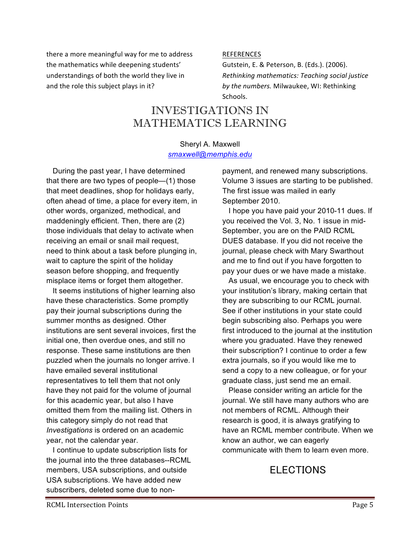there a more meaningful way for me to address the mathematics while deepening students' understandings of both the world they live in and the role this subject plays in it?

#### **REFERENCES**

Gutstein, E. & Peterson, B. (Eds.). (2006). *Rethinking mathematics: Teaching social justice*  by the numbers. Milwaukee, WI: Rethinking Schools.

### INVESTIGATIONS IN MATHEMATICS LEARNING

#### Sheryl A. Maxwell *smaxwell@memphis.edu*

 During the past year, I have determined that there are two types of people—(1) those that meet deadlines, shop for holidays early, often ahead of time, a place for every item, in other words, organized, methodical, and maddeningly efficient. Then, there are (2) those individuals that delay to activate when receiving an email or snail mail request, need to think about a task before plunging in, wait to capture the spirit of the holiday season before shopping, and frequently misplace items or forget them altogether.

 It seems institutions of higher learning also have these characteristics. Some promptly pay their journal subscriptions during the summer months as designed. Other institutions are sent several invoices, first the initial one, then overdue ones, and still no response. These same institutions are then puzzled when the journals no longer arrive. I have emailed several institutional representatives to tell them that not only have they not paid for the volume of journal for this academic year, but also I have omitted them from the mailing list. Others in this category simply do not read that *Investigations* is ordered on an academic year, not the calendar year.

 I continue to update subscription lists for the journal into the three databases--RCML members, USA subscriptions, and outside USA subscriptions. We have added new subscribers, deleted some due to nonpayment, and renewed many subscriptions. Volume 3 issues are starting to be published. The first issue was mailed in early September 2010.

 I hope you have paid your 2010-11 dues. If you received the Vol. 3, No. 1 issue in mid-September, you are on the PAID RCML DUES database. If you did not receive the journal, please check with Mary Swarthout and me to find out if you have forgotten to pay your dues or we have made a mistake.

 As usual, we encourage you to check with your institution's library, making certain that they are subscribing to our RCML journal. See if other institutions in your state could begin subscribing also. Perhaps you were first introduced to the journal at the institution where you graduated. Have they renewed their subscription? I continue to order a few extra journals, so if you would like me to send a copy to a new colleague, or for your graduate class, just send me an email.

 Please consider writing an article for the journal. We still have many authors who are not members of RCML. Although their research is good, it is always gratifying to have an RCML member contribute. When we know an author, we can eagerly communicate with them to learn even more.

### **ELECTIONS**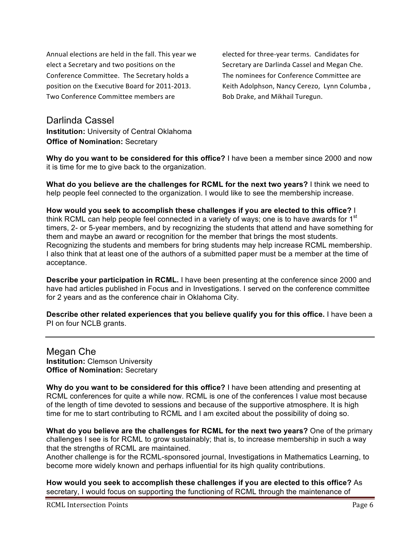Annual elections are held in the fall. This year we elect a Secretary and two positions on the Conference Committee. The Secretary holds a position on the Executive Board for 2011-2013. Two Conference Committee members are

elected for three-year terms. Candidates for Secretary are Darlinda Cassel and Megan Che. The nominees for Conference Committee are Keith Adolphson, Nancy Cerezo, Lynn Columba, Bob Drake, and Mikhail Turegun. 

#### Darlinda Cassel **Institution:** University of Central Oklahoma **Office of Nomination:** Secretary

**Why do you want to be considered for this office?** I have been a member since 2000 and now it is time for me to give back to the organization.

**What do you believe are the challenges for RCML for the next two years?** I think we need to help people feel connected to the organization. I would like to see the membership increase.

**How would you seek to accomplish these challenges if you are elected to this office?** I think RCML can help people feel connected in a variety of ways; one is to have awards for  $1<sup>st</sup>$ timers, 2- or 5-year members, and by recognizing the students that attend and have something for them and maybe an award or recognition for the member that brings the most students. Recognizing the students and members for bring students may help increase RCML membership. I also think that at least one of the authors of a submitted paper must be a member at the time of acceptance.

**Describe your participation in RCML.** I have been presenting at the conference since 2000 and have had articles published in Focus and in Investigations. I served on the conference committee for 2 years and as the conference chair in Oklahoma City.

**Describe other related experiences that you believe qualify you for this office.** I have been a PI on four NCLB grants.

Megan Che **Institution:** Clemson University **Office of Nomination:** Secretary

**Why do you want to be considered for this office?** I have been attending and presenting at RCML conferences for quite a while now. RCML is one of the conferences I value most because of the length of time devoted to sessions and because of the supportive atmosphere. It is high time for me to start contributing to RCML and I am excited about the possibility of doing so.

**What do you believe are the challenges for RCML for the next two years?** One of the primary challenges I see is for RCML to grow sustainably; that is, to increase membership in such a way that the strengths of RCML are maintained.

Another challenge is for the RCML-sponsored journal, Investigations in Mathematics Learning, to become more widely known and perhaps influential for its high quality contributions.

**How would you seek to accomplish these challenges if you are elected to this office?** As secretary, I would focus on supporting the functioning of RCML through the maintenance of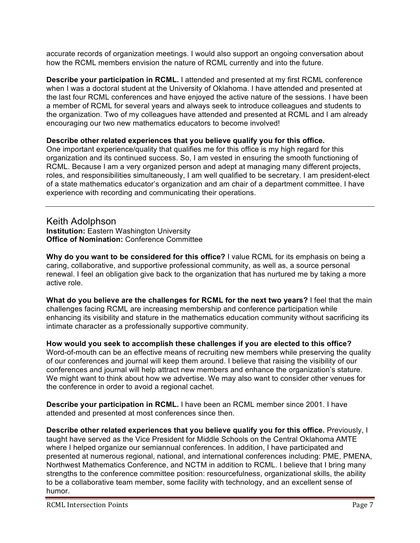accurate records of organization meetings. I would also support an ongoing conversation about how the RCML members envision the nature of RCML currently and into the future.

**Describe your participation in RCML.** I attended and presented at my first RCML conference when I was a doctoral student at the University of Oklahoma. I have attended and presented at the last four RCML conferences and have enjoyed the active nature of the sessions. I have been a member of RCML for several years and always seek to introduce colleagues and students to the organization. Two of my colleagues have attended and presented at RCML and I am already encouraging our two new mathematics educators to become involved!

#### **Describe other related experiences that you believe qualify you for this office.**

One important experience/quality that qualifies me for this office is my high regard for this organization and its continued success. So, I am vested in ensuring the smooth functioning of RCML. Because I am a very organized person and adept at managing many different projects, roles, and responsibilities simultaneously, I am well qualified to be secretary. I am president-elect of a state mathematics educator's organization and am chair of a department committee. I have experience with recording and communicating their operations.

#### Keith Adolphson

**Institution:** Eastern Washington University **Office of Nomination:** Conference Committee

**Why do you want to be considered for this office?** I value RCML for its emphasis on being a caring, collaborative, and supportive professional community, as well as, a source personal renewal. I feel an obligation give back to the organization that has nurtured me by taking a more active role.

**What do you believe are the challenges for RCML for the next two years?** I feel that the main challenges facing RCML are increasing membership and conference participation while enhancing its visibility and stature in the mathematics education community without sacrificing its intimate character as a professionally supportive community.

**How would you seek to accomplish these challenges if you are elected to this office?** Word-of-mouth can be an effective means of recruiting new members while preserving the quality of our conferences and journal will keep them around. I believe that raising the visibility of our conferences and journal will help attract new members and enhance the organization's stature. We might want to think about how we advertise. We may also want to consider other venues for the conference in order to avoid a regional cachet.

**Describe your participation in RCML.** I have been an RCML member since 2001. I have attended and presented at most conferences since then.

**Describe other related experiences that you believe qualify you for this office.** Previously, I taught have served as the Vice President for Middle Schools on the Central Oklahoma AMTE where I helped organize our semiannual conferences. In addition, I have participated and presented at numerous regional, national, and international conferences including: PME, PMENA, Northwest Mathematics Conference, and NCTM in addition to RCML. I believe that I bring many strengths to the conference committee position: resourcefulness, organizational skills, the ability to be a collaborative team member, some facility with technology, and an excellent sense of humor.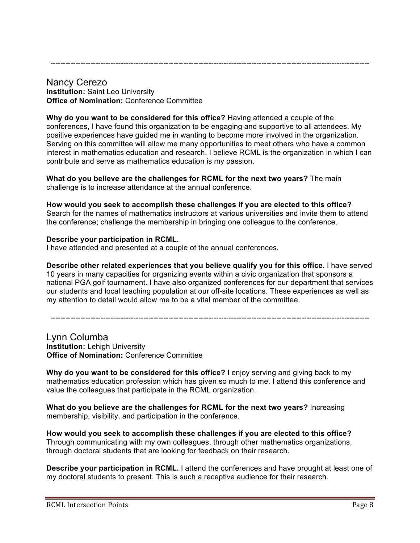-------------------------------------------------------------------------------------------------------------------------------

#### Nancy Cerezo **Institution:** Saint Leo University **Office of Nomination:** Conference Committee

**Why do you want to be considered for this office?** Having attended a couple of the conferences, I have found this organization to be engaging and supportive to all attendees. My positive experiences have guided me in wanting to become more involved in the organization. Serving on this committee will allow me many opportunities to meet others who have a common interest in mathematics education and research. I believe RCML is the organization in which I can contribute and serve as mathematics education is my passion.

**What do you believe are the challenges for RCML for the next two years?** The main challenge is to increase attendance at the annual conference.

#### **How would you seek to accomplish these challenges if you are elected to this office?**

Search for the names of mathematics instructors at various universities and invite them to attend the conference; challenge the membership in bringing one colleague to the conference.

#### **Describe your participation in RCML.**

I have attended and presented at a couple of the annual conferences.

**Describe other related experiences that you believe qualify you for this office.** I have served 10 years in many capacities for organizing events within a civic organization that sponsors a national PGA golf tournament. I have also organized conferences for our department that services our students and local teaching population at our off-site locations. These experiences as well as my attention to detail would allow me to be a vital member of the committee.

-------------------------------------------------------------------------------------------------------------------------------

#### Lynn Columba **Institution:** Lehigh University **Office of Nomination:** Conference Committee

**Why do you want to be considered for this office?** I enjoy serving and giving back to my mathematics education profession which has given so much to me. I attend this conference and value the colleagues that participate in the RCML organization.

**What do you believe are the challenges for RCML for the next two years?** Increasing membership, visibility, and participation in the conference.

**How would you seek to accomplish these challenges if you are elected to this office?** Through communicating with my own colleagues, through other mathematics organizations, through doctoral students that are looking for feedback on their research.

**Describe your participation in RCML.** I attend the conferences and have brought at least one of my doctoral students to present. This is such a receptive audience for their research.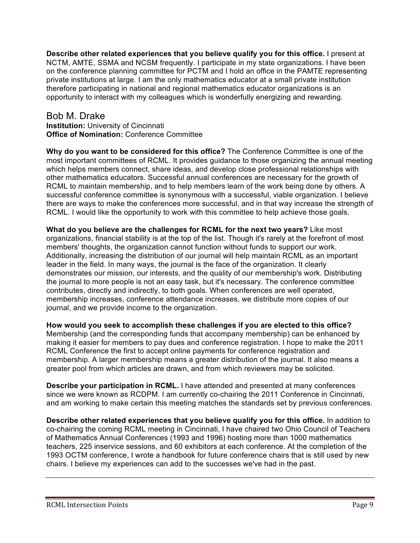**Describe other related experiences that you believe qualify you for this office.** I present at NCTM, AMTE, SSMA and NCSM frequently. I participate in my state organizations. I have been on the conference planning committee for PCTM and I hold an office in the PAMTE representing private institutions at large. I am the only mathematics educator at a small private institution therefore participating in national and regional mathematics educator organizations is an opportunity to interact with my colleagues which is wonderfully energizing and rewarding.

#### Bob M. Drake **Institution:** University of Cincinnati **Office of Nomination:** Conference Committee

**Why do you want to be considered for this office?** The Conference Committee is one of the most important committees of RCML. It provides guidance to those organizing the annual meeting which helps members connect, share ideas, and develop close professional relationships with other mathematics educators. Successful annual conferences are necessary for the growth of RCML to maintain membership, and to help members learn of the work being done by others. A successful conference committee is synonymous with a successful, viable organization. I believe there are ways to make the conferences more successful, and in that way increase the strength of RCML. I would like the opportunity to work with this committee to help achieve those goals.

**What do you believe are the challenges for RCML for the next two years?** Like most organizations, financial stability is at the top of the list. Though it's rarely at the forefront of most members' thoughts, the organization cannot function without funds to support our work. Additionally, increasing the distribution of our journal will help maintain RCML as an important leader in the field. In many ways, the journal is the face of the organization. It clearly demonstrates our mission, our interests, and the quality of our membership's work. Distributing the journal to more people is not an easy task, but it's necessary. The conference committee contributes, directly and indirectly, to both goals. When conferences are well operated, membership increases, conference attendance increases, we distribute more copies of our journal, and we provide income to the organization.

**How would you seek to accomplish these challenges if you are elected to this office?** Membership (and the corresponding funds that accompany membership) can be enhanced by making it easier for members to pay dues and conference registration. I hope to make the 2011 RCML Conference the first to accept online payments for conference registration and membership. A larger membership means a greater distribution of the journal. It also means a greater pool from which articles are drawn, and from which reviewers may be solicited.

**Describe your participation in RCML.** I have attended and presented at many conferences since we were known as RCDPM. I am currently co-chairing the 2011 Conference in Cincinnati, and am working to make certain this meeting matches the standards set by previous conferences.

**Describe other related experiences that you believe qualify you for this office.** In addition to co-chairing the coming RCML meeting in Cincinnati, I have chaired two Ohio Council of Teachers of Mathematics Annual Conferences (1993 and 1996) hosting more than 1000 mathematics teachers, 225 inservice sessions, and 60 exhibitors at each conference. At the completion of the 1993 OCTM conference, I wrote a handbook for future conference chairs that is still used by new chairs. I believe my experiences can add to the successes we've had in the past.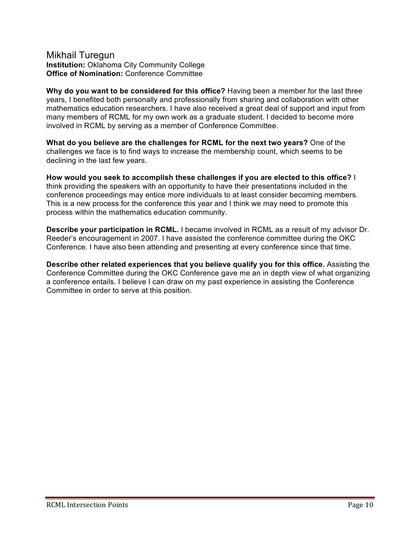#### Mikhail Turegun **Institution:** Oklahoma City Community College **Office of Nomination:** Conference Committee

**Why do you want to be considered for this office?** Having been a member for the last three years, I benefited both personally and professionally from sharing and collaboration with other mathematics education researchers. I have also received a great deal of support and input from many members of RCML for my own work as a graduate student. I decided to become more involved in RCML by serving as a member of Conference Committee.

**What do you believe are the challenges for RCML for the next two years?** One of the challenges we face is to find ways to increase the membership count, which seems to be declining in the last few years.

**How would you seek to accomplish these challenges if you are elected to this office?** I think providing the speakers with an opportunity to have their presentations included in the conference proceedings may entice more individuals to at least consider becoming members. This is a new process for the conference this year and I think we may need to promote this process within the mathematics education community.

**Describe your participation in RCML.** I became involved in RCML as a result of my advisor Dr. Reeder's encouragement in 2007. I have assisted the conference committee during the OKC Conference. I have also been attending and presenting at every conference since that time.

**Describe other related experiences that you believe qualify you for this office.** Assisting the Conference Committee during the OKC Conference gave me an in depth view of what organizing a conference entails. I believe I can draw on my past experience in assisting the Conference Committee in order to serve at this position.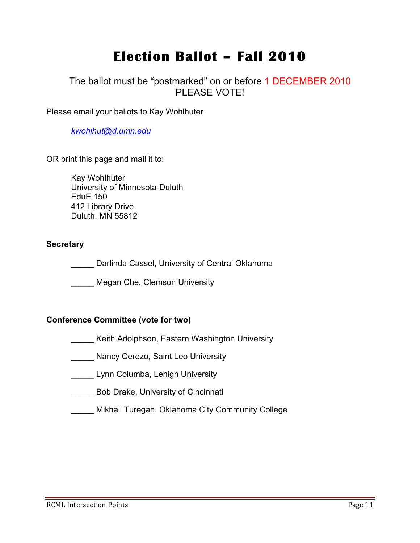# **Election Ballot – Fall 2010**

### The ballot must be "postmarked" on or before 1 DECEMBER 2010 PI FASE VOTE!

Please email your ballots to Kay Wohlhuter

*kwohlhut@d.umn.edu*

OR print this page and mail it to:

Kay Wohlhuter University of Minnesota-Duluth EduE 150 412 Library Drive Duluth, MN 55812

#### **Secretary**

Darlinda Cassel, University of Central Oklahoma

\_\_\_\_\_ Megan Che, Clemson University

#### **Conference Committee (vote for two)**

Keith Adolphson, Eastern Washington University

**Nancy Cerezo, Saint Leo University** 

\_\_\_\_\_ Lynn Columba, Lehigh University

**EXECUTE:** Bob Drake, University of Cincinnati

\_\_\_\_\_ Mikhail Turegan, Oklahoma City Community College